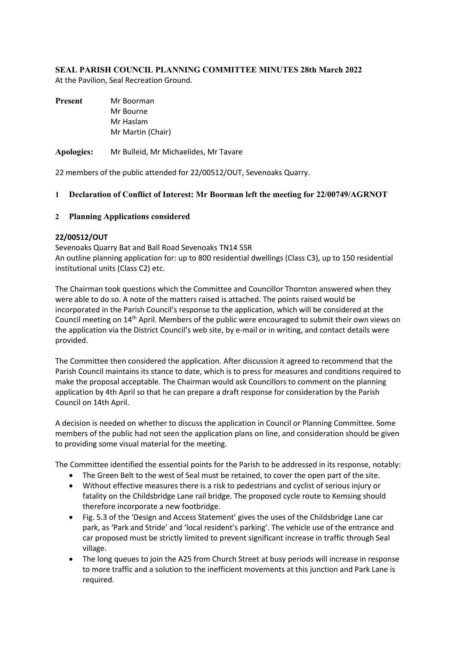# **SEAL PARISH COUNCIL PLANNING COMMITTEE MINUTES 28th March 2022**

At the Pavilion, Seal Recreation Ground.

| <b>Present</b> | Mr Boorman        |  |
|----------------|-------------------|--|
|                | Mr Bourne         |  |
|                | Mr Haslam         |  |
|                | Mr Martin (Chair) |  |
|                |                   |  |

**Apologies:** Mr Bulleid, Mr Michaelides, Mr Tavare

22 members of the public attended for 22/00512/OUT, Sevenoaks Quarry.

#### **1 Declaration of Conflict of Interest: Mr Boorman left the meeting for 22/00749/AGRNOT**

#### **2 Planning Applications considered**

#### **22/00512/OUT**

Sevenoaks Quarry Bat and Ball Road Sevenoaks TN14 5SR An outline planning application for: up to 800 residential dwellings (Class C3), up to 150 residential institutional units (Class C2) etc.

The Chairman took questions which the Committee and Councillor Thornton answered when they were able to do so. A note of the matters raised is attached. The points raised would be incorporated in the Parish Council's response to the application, which will be considered at the Council meeting on 14th April. Members of the public were encouraged to submit their own views on the application via the District Council's web site, by e-mail or in writing, and contact details were provided.

The Committee then considered the application. After discussion it agreed to recommend that the Parish Council maintains its stance to date, which is to press for measures and conditions required to make the proposal acceptable. The Chairman would ask Councillors to comment on the planning application by 4th April so that he can prepare a draft response for consideration by the Parish Council on 14th April.

A decision is needed on whether to discuss the application in Council or Planning Committee. Some members of the public had not seen the application plans on line, and consideration should be given to providing some visual material for the meeting.

The Committee identified the essential points for the Parish to be addressed in its response, notably:

- The Green Belt to the west of Seal must be retained, to cover the open part of the site.
- Without effective measures there is a risk to pedestrians and cyclist of serious injury or fatality on the Childsbridge Lane rail bridge. The proposed cycle route to Kemsing should therefore incorporate a new footbridge.
- Fig. 5.3 of the 'Design and Access Statement' gives the uses of the Childsbridge Lane car park, as 'Park and Stride' and 'local resident's parking'. The vehicle use of the entrance and car proposed must be strictly limited to prevent significant increase in traffic through Seal village.
- The long queues to join the A25 from Church Street at busy periods will increase in response to more traffic and a solution to the inefficient movements at this junction and Park Lane is required.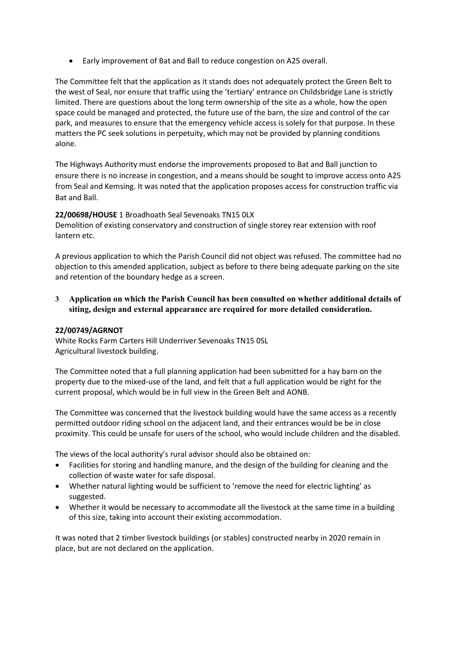• Early improvement of Bat and Ball to reduce congestion on A25 overall.

The Committee felt that the application as it stands does not adequately protect the Green Belt to the west of Seal, nor ensure that traffic using the 'tertiary' entrance on Childsbridge Lane is strictly limited. There are questions about the long term ownership of the site as a whole, how the open space could be managed and protected, the future use of the barn, the size and control of the car park, and measures to ensure that the emergency vehicle access is solely for that purpose. In these matters the PC seek solutions in perpetuity, which may not be provided by planning conditions alone.

The Highways Authority must endorse the improvements proposed to Bat and Ball junction to ensure there is no increase in congestion, and a means should be sought to improve access onto A25 from Seal and Kemsing. It was noted that the application proposes access for construction traffic via Bat and Ball.

## **22/00698/HOUSE** 1 Broadhoath Seal Sevenoaks TN15 0LX

Demolition of existing conservatory and construction of single storey rear extension with roof lantern etc.

A previous application to which the Parish Council did not object was refused. The committee had no objection to this amended application, subject as before to there being adequate parking on the site and retention of the boundary hedge as a screen.

**3 Application on which the Parish Council has been consulted on whether additional details of siting, design and external appearance are required for more detailed consideration.**

## **22/00749/AGRNOT**

White Rocks Farm Carters Hill Underriver Sevenoaks TN15 0SL Agricultural livestock building.

The Committee noted that a full planning application had been submitted for a hay barn on the property due to the mixed-use of the land, and felt that a full application would be right for the current proposal, which would be in full view in the Green Belt and AONB.

The Committee was concerned that the livestock building would have the same access as a recently permitted outdoor riding school on the adjacent land, and their entrances would be be in close proximity. This could be unsafe for users of the school, who would include children and the disabled.

The views of the local authority's rural advisor should also be obtained on:

- Facilities for storing and handling manure, and the design of the building for cleaning and the collection of waste water for safe disposal.
- Whether natural lighting would be sufficient to 'remove the need for electric lighting' as suggested.
- Whether it would be necessary to accommodate all the livestock at the same time in a building of this size, taking into account their existing accommodation.

It was noted that 2 timber livestock buildings (or stables) constructed nearby in 2020 remain in place, but are not declared on the application.